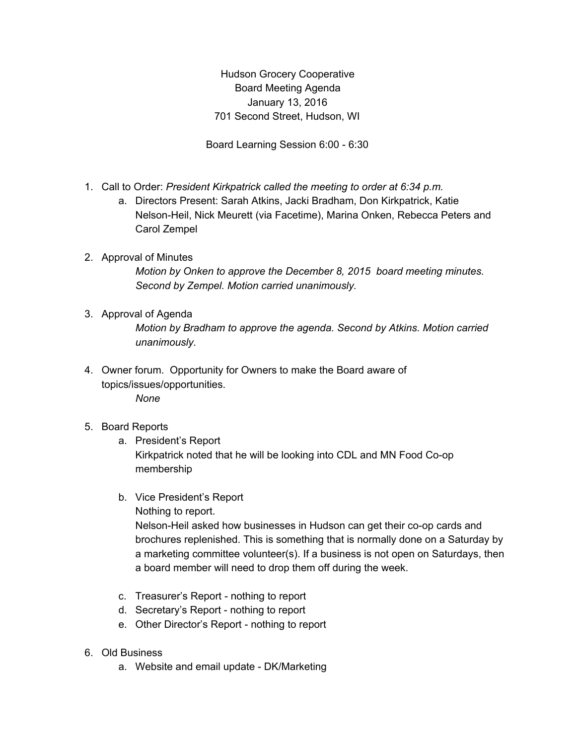Hudson Grocery Cooperative Board Meeting Agenda January 13, 2016 701 Second Street, Hudson, WI

Board Learning Session 6:00 - 6:30

- 1. Call to Order: *President Kirkpatrick called the meeting to order at 6:34 p.m.*
	- a. Directors Present: Sarah Atkins, Jacki Bradham, Don Kirkpatrick, Katie Nelson-Heil, Nick Meurett (via Facetime), Marina Onken, Rebecca Peters and Carol Zempel

## 2. Approval of Minutes

*Motion by Onken to approve the December 8, 2015 board meeting minutes. Second by Zempel. Motion carried unanimously.*

3. Approval of Agenda

*Motion by Bradham to approve the agenda. Second by Atkins. Motion carried unanimously.*

- 4. Owner forum. Opportunity for Owners to make the Board aware of topics/issues/opportunities. *None*
- 5. Board Reports
	- a. President's Report Kirkpatrick noted that he will be looking into CDL and MN Food Co-op membership
	- b. Vice President's Report
		- Nothing to report.

Nelson-Heil asked how businesses in Hudson can get their co-op cards and brochures replenished. This is something that is normally done on a Saturday by a marketing committee volunteer(s). If a business is not open on Saturdays, then a board member will need to drop them off during the week.

- c. Treasurer's Report nothing to report
- d. Secretary's Report nothing to report
- e. Other Director's Report nothing to report
- 6. Old Business
	- a. Website and email update DK/Marketing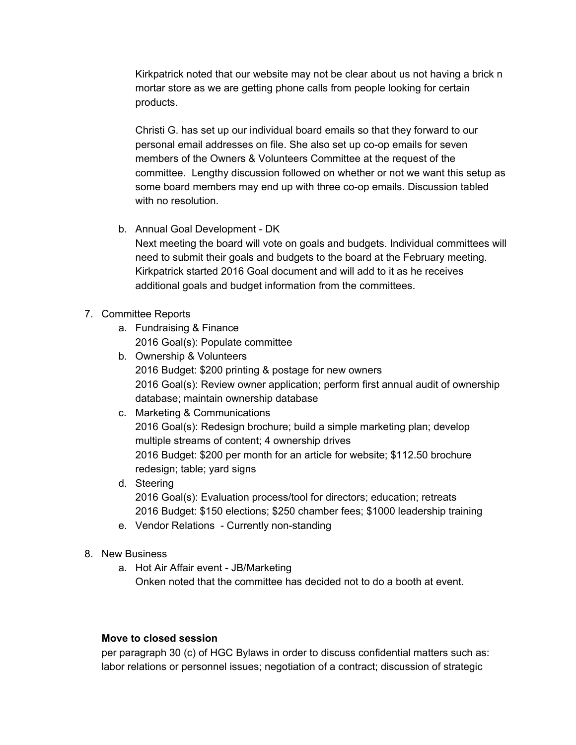Kirkpatrick noted that our website may not be clear about us not having a brick n mortar store as we are getting phone calls from people looking for certain products.

Christi G. has set up our individual board emails so that they forward to our personal email addresses on file. She also set up co-op emails for seven members of the Owners & Volunteers Committee at the request of the committee. Lengthy discussion followed on whether or not we want this setup as some board members may end up with three co-op emails. Discussion tabled with no resolution.

- b. Annual Goal Development DK Next meeting the board will vote on goals and budgets. Individual committees will need to submit their goals and budgets to the board at the February meeting. Kirkpatrick started 2016 Goal document and will add to it as he receives additional goals and budget information from the committees.
- 7. Committee Reports
	- a. Fundraising & Finance 2016 Goal(s): Populate committee
	- b. Ownership & Volunteers 2016 Budget: \$200 printing & postage for new owners 2016 Goal(s): Review owner application; perform first annual audit of ownership database; maintain ownership database
	- c. Marketing & Communications 2016 Goal(s): Redesign brochure; build a simple marketing plan; develop multiple streams of content; 4 ownership drives 2016 Budget: \$200 per month for an article for website; \$112.50 brochure redesign; table; yard signs
	- d. Steering 2016 Goal(s): Evaluation process/tool for directors; education; retreats 2016 Budget: \$150 elections; \$250 chamber fees; \$1000 leadership training
	- e. Vendor Relations Currently non-standing
- 8. New Business
	- a. Hot Air Affair event JB/Marketing Onken noted that the committee has decided not to do a booth at event.

## **Move to closed session**

per paragraph 30 (c) of HGC Bylaws in order to discuss confidential matters such as: labor relations or personnel issues; negotiation of a contract; discussion of strategic